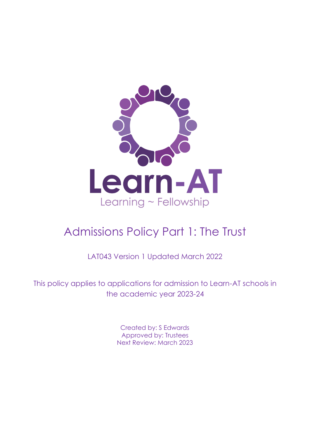

# Admissions Policy Part 1: The Trust

LAT043 Version 1 Updated March 2022

This policy applies to applications for admission to Learn-AT schools in the academic year 2023-24

> Created by: S Edwards Approved by: Trustees Next Review: March 2023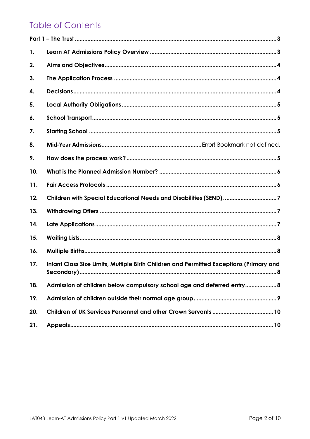# **Table of Contents**

| 1.  |                                                                                         |
|-----|-----------------------------------------------------------------------------------------|
| 2.  |                                                                                         |
| 3.  |                                                                                         |
| 4.  |                                                                                         |
| 5.  |                                                                                         |
| 6.  |                                                                                         |
| 7.  |                                                                                         |
| 8.  |                                                                                         |
| 9.  |                                                                                         |
| 10. |                                                                                         |
| 11. |                                                                                         |
| 12. | Children with Special Educational Needs and Disabilities (SEND). 7                      |
| 13. |                                                                                         |
| 14. |                                                                                         |
| 15. |                                                                                         |
| 16. |                                                                                         |
| 17. | Infant Class Size Limits, Multiple Birth Children and Permitted Exceptions (Primary and |
| 18. | Admission of children below compulsory school age and deferred entry 8                  |
| 19. |                                                                                         |
| 20. |                                                                                         |
| 21. |                                                                                         |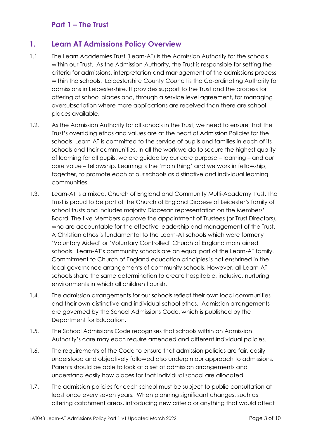# **Part 1 – The Trust**

## <span id="page-2-1"></span><span id="page-2-0"></span>**1. Learn AT Admissions Policy Overview**

- 1.1. The Learn Academies Trust (Learn-AT) is the Admission Authority for the schools within our Trust. As the Admission Authority, the Trust is responsible for setting the criteria for admissions, interpretation and management of the admissions process within the schools. Leicestershire County Council is the Co-ordinating Authority for admissions in Leicestershire. It provides support to the Trust and the process for offering of school places and, through a service level agreement, for managing oversubscription where more applications are received than there are school places available.
- 1.2. As the Admission Authority for all schools in the Trust, we need to ensure that the Trust's overriding ethos and values are at the heart of Admission Policies for the schools. Learn-AT is committed to the service of pupils and families in each of its schools and their communities. In all the work we do to secure the highest quality of learning for all pupils, we are guided by our core purpose – learning – and our core value – fellowship. Learning is the 'main thing' and we work in fellowship, together, to promote each of our schools as distinctive and individual learning communities.
- 1.3. Learn-AT is a mixed, Church of England and Community Multi-Academy Trust. The Trust is proud to be part of the Church of England Diocese of Leicester's family of school trusts and includes majority Diocesan representation on the Members' Board. The five Members approve the appointment of Trustees (or Trust Directors), who are accountable for the effective leadership and management of the Trust. A Christian ethos is fundamental to the Learn-AT schools which were formerly 'Voluntary Aided' or 'Voluntary Controlled' Church of England maintained schools. Learn-AT's community schools are an equal part of the Learn-AT family. Commitment to Church of England education principles is not enshrined in the local governance arrangements of community schools. However, all Learn-AT schools share the same determination to create hospitable, inclusive, nurturing environments in which all children flourish.
- 1.4. The admission arrangements for our schools reflect their own local communities and their own distinctive and individual school ethos. Admission arrangements are governed by the School Admissions Code, which is published by the Department for Education.
- 1.5. The School Admissions Code recognises that schools within an Admission Authority's care may each require amended and different individual policies.
- 1.6. The requirements of the Code to ensure that admission policies are fair, easily understood and objectively followed also underpin our approach to admissions. Parents should be able to look at a set of admission arrangements and understand easily how places for that individual school are allocated.
- 1.7. The admission policies for each school must be subject to public consultation at least once every seven years. When planning significant changes, such as altering catchment areas, introducing new criteria or anything that would affect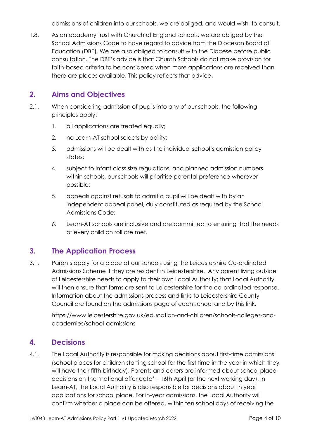admissions of children into our schools, we are obliged, and would wish, to consult.

1.8. As an academy trust with Church of England schools, we are obliged by the School Admissions Code to have regard to advice from the Diocesan Board of Education (DBE). We are also obliged to consult with the Diocese before public consultation. The DBE's advice is that Church Schools do not make provision for faith-based criteria to be considered when more applications are received than there are places available. This policy reflects that advice.

#### <span id="page-3-0"></span>**2. Aims and Objectives**

- 2.1. When considering admission of pupils into any of our schools, the following principles apply:
	- 1. all applications are treated equally;
	- 2. no Learn-AT school selects by ability;
	- 3. admissions will be dealt with as the individual school's admission policy states;
	- 4. subject to infant class size regulations, and planned admission numbers within schools, our schools will prioritise parental preference wherever possible;
	- 5. appeals against refusals to admit a pupil will be dealt with by an independent appeal panel, duly constituted as required by the School Admissions Code;
	- 6. Learn-AT schools are inclusive and are committed to ensuring that the needs of every child on roll are met.

#### <span id="page-3-1"></span>**3. The Application Process**

3.1. Parents apply for a place at our schools using the Leicestershire Co-ordinated Admissions Scheme if they are resident in Leicestershire. Any parent living outside of Leicestershire needs to apply to their own Local Authority; that Local Authority will then ensure that forms are sent to Leicestershire for the co-ordinated response. Information about the admissions process and links to Leicestershire County Council are found on the admissions page of each school and by this link.

https://www.leicestershire.gov.uk/education-and-children/schools-colleges-andacademies/school-admissions

#### <span id="page-3-2"></span>**4. Decisions**

4.1. The Local Authority is responsible for making decisions about first-time admissions (school places for children starting school for the first time in the year in which they will have their fifth birthday). Parents and carers are informed about school place decisions on the 'national offer date' – 16th April (or the next working day). In Learn-AT, the Local Authority is also responsible for decisions about in year applications for school place. For in-year admissions, the Local Authority will confirm whether a place can be offered, within ten school days of receiving the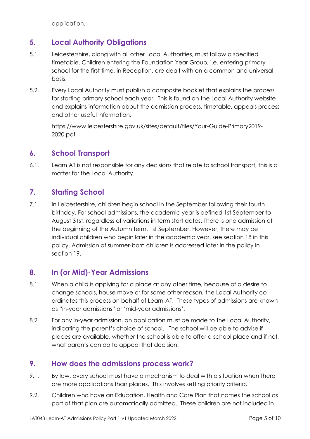application.

# <span id="page-4-0"></span>**5. Local Authority Obligations**

- 5.1. Leicestershire, along with all other Local Authorities, must follow a specified timetable. Children entering the Foundation Year Group, i.e. entering primary school for the first time, in Reception, are dealt with on a common and universal basis.
- 5.2. Every Local Authority must publish a composite booklet that explains the process for starting primary school each year. This is found on the Local Authority website and explains information about the admission process, timetable, appeals process and other useful information.

https://www.leicestershire.gov.uk/sites/default/files/Your-Guide-Primary2019- 2020.pdf

# <span id="page-4-1"></span>**6. School Transport**

6.1. Learn AT is not responsible for any decisions that relate to school transport, this is a matter for the Local Authority.

## <span id="page-4-2"></span>**7. Starting School**

7.1. In Leicestershire, children begin school in the September following their fourth birthday. For school admissions, the academic year is defined 1st September to August 31st, regardless of variations in term start dates. There is one admission at the beginning of the Autumn term, 1st September. However, there may be individual children who begin later in the academic year, see section 18 in this policy. Admission of summer-born children is addressed later in the policy in section 19.

#### **8. In (or Mid)-Year Admissions**

- 8.1. When a child is applying for a place at any other time, because of a desire to change schools, house move or for some other reason, the Local Authority coordinates this process on behalf of Learn-AT. These types of admissions are known as "in-year admissions" or 'mid-year admissions'.
- 8.2. For any in-year admission, an application must be made to the Local Authority, indicating the parent's choice of school. The school will be able to advise if places are available, whether the school is able to offer a school place and if not, what parents can do to appeal that decision.

#### <span id="page-4-3"></span>**9. How does the admissions process work?**

- 9.1. By law, every school must have a mechanism to deal with a situation when there are more applications than places. This involves setting priority criteria.
- 9.2. Children who have an Education, Health and Care Plan that names the school as part of that plan are automatically admitted. These children are not included in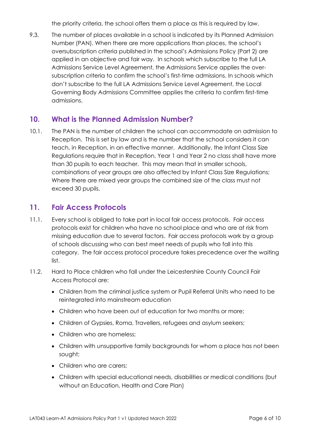the priority criteria, the school offers them a place as this is required by law.

9.3. The number of places available in a school is indicated by its Planned Admission Number (PAN). When there are more applications than places, the school's oversubscription criteria published in the school's Admissions Policy (Part 2) are applied in an objective and fair way. In schools which subscribe to the full LA Admissions Service Level Agreement, the Admissions Service applies the oversubscription criteria to confirm the school's first-time admissions. In schools which don't subscribe to the full LA Admissions Service Level Agreement, the Local Governing Body Admissions Committee applies the criteria to confirm first-time admissions.

#### <span id="page-5-0"></span>**10. What is the Planned Admission Number?**

10.1. The PAN is the number of children the school can accommodate on admission to Reception. This is set by law and is the number that the school considers it can teach, in Reception, in an effective manner. Additionally, the Infant Class Size Regulations require that in Reception, Year 1 and Year 2 no class shall have more than 30 pupils to each teacher. This may mean that in smaller schools, combinations of year groups are also affected by Infant Class Size Regulations; Where there are mixed year groups the combined size of the class must not exceed 30 pupils.

#### <span id="page-5-1"></span>**11. Fair Access Protocols**

- 11.1. Every school is obliged to take part in local fair access protocols. Fair access protocols exist for children who have no school place and who are at risk from missing education due to several factors. Fair access protocols work by a group of schools discussing who can best meet needs of pupils who fall into this category. The fair access protocol procedure takes precedence over the waiting list.
- 11.2. Hard to Place children who fall under the Leicestershire County Council Fair Access Protocol are:
	- Children from the criminal justice system or Pupil Referral Units who need to be reintegrated into mainstream education
	- Children who have been out of education for two months or more;
	- Children of Gypsies, Roma, Travellers, refugees and asylum seekers;
	- Children who are homeless:
	- Children with unsupportive family backgrounds for whom a place has not been sought;
	- Children who are carers:
	- Children with special educational needs, disabilities or medical conditions (but without an Education, Health and Care Plan)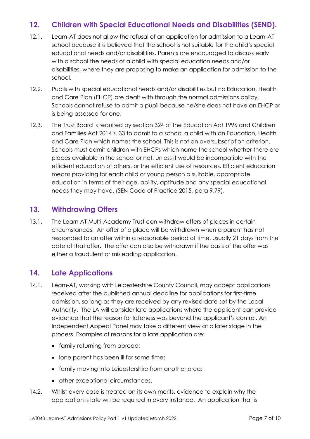# <span id="page-6-0"></span>**12. Children with Special Educational Needs and Disabilities (SEND).**

- 12.1. Learn-AT does not allow the refusal of an application for admission to a Learn-AT school because it is believed that the school is not suitable for the child's special educational needs and/or disabilities. Parents are encouraged to discuss early with a school the needs of a child with special education needs and/or disabilities, where they are proposing to make an application for admission to the school.
- 12.2. Pupils with special educational needs and/or disabilities but no Education, Health and Care Plan (EHCP) are dealt with through the normal admissions policy. Schools cannot refuse to admit a pupil because he/she does not have an EHCP or is being assessed for one.
- 12.3. The Trust Board is required by section 324 of the Education Act 1996 and Children and Families Act 2014 s. 33 to admit to a school a child with an Education, Health and Care Plan which names the school. This is not an oversubscription criterion. Schools must admit children with EHCPs which name the school whether there are places available in the school or not, unless it would be incompatible with the efficient education of others, or the efficient use of resources. Efficient education means providing for each child or young person a suitable, appropriate education in terms of their age, ability, aptitude and any special educational needs they may have. (SEN Code of Practice 2015, para 9.79).

#### <span id="page-6-1"></span>**13. Withdrawing Offers**

13.1. The Learn AT Multi-Academy Trust can withdraw offers of places in certain circumstances. An offer of a place will be withdrawn when a parent has not responded to an offer within a reasonable period of time, usually 21 days from the date of that offer. The offer can also be withdrawn if the basis of the offer was either a fraudulent or misleading application.

#### <span id="page-6-2"></span>**14. Late Applications**

- 14.1. Learn-AT, working with Leicestershire County Council, may accept applications received after the published annual deadline for applications for first-time admission, so long as they are received by any revised date set by the Local Authority. The LA will consider late applications where the applicant can provide evidence that the reason for lateness was beyond the applicant's control. An Independent Appeal Panel may take a different view at a later stage in the process. Examples of reasons for a late application are:
	- family returning from abroad;
	- lone parent has been ill for some time;
	- family moving into Leicestershire from another area;
	- other exceptional circumstances.
- 14.2. Whilst every case is treated on its own merits, evidence to explain why the application is late will be required in every instance. An application that is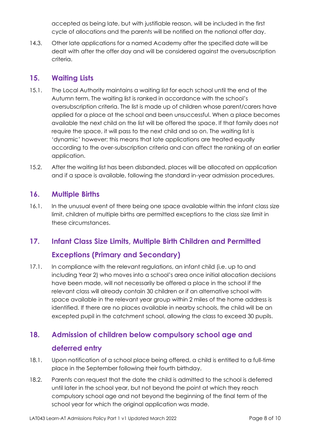accepted as being late, but with justifiable reason, will be included in the first cycle of allocations and the parents will be notified on the national offer day.

14.3. Other late applications for a named Academy after the specified date will be dealt with after the offer day and will be considered against the oversubscription criteria.

## <span id="page-7-0"></span>**15. Waiting Lists**

- 15.1. The Local Authority maintains a waiting list for each school until the end of the Autumn term. The waiting list is ranked in accordance with the school's oversubscription criteria. The list is made up of children whose parent/carers have applied for a place at the school and been unsuccessful. When a place becomes available the next child on the list will be offered the space. If that family does not require the space, it will pass to the next child and so on. The waiting list is 'dynamic' however; this means that late applications are treated equally according to the over-subscription criteria and can affect the ranking of an earlier application.
- 15.2. After the waiting list has been disbanded, places will be allocated on application and if a space is available, following the standard in-year admission procedures.

# <span id="page-7-1"></span>**16. Multiple Births**

16.1. In the unusual event of there being one space available within the infant class size limit, children of multiple births are permitted exceptions to the class size limit in these circumstances.

# <span id="page-7-2"></span>**17. Infant Class Size Limits, Multiple Birth Children and Permitted**

# **Exceptions (Primary and Secondary)**

17.1. In compliance with the relevant regulations, an infant child (i.e. up to and including Year 2) who moves into a school's area once initial allocation decisions have been made, will not necessarily be offered a place in the school if the relevant class will already contain 30 children or if an alternative school with space available in the relevant year group within 2 miles of the home address is identified. If there are no places available in nearby schools, the child will be an excepted pupil in the catchment school, allowing the class to exceed 30 pupils.

# <span id="page-7-3"></span>**18. Admission of children below compulsory school age and deferred entry**

- 18.1. Upon notification of a school place being offered, a child is entitled to a full-time place in the September following their fourth birthday.
- 18.2. Parents can request that the date the child is admitted to the school is deferred until later in the school year, but not beyond the point at which they reach compulsory school age and not beyond the beginning of the final term of the school year for which the original application was made.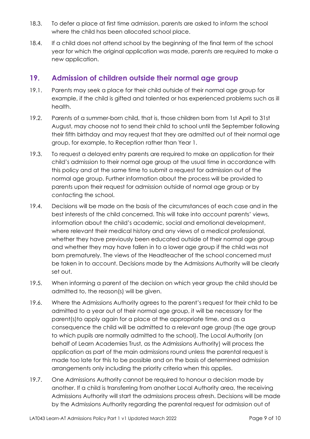- 18.3. To defer a place at first time admission, parents are asked to inform the school where the child has been allocated school place.
- 18.4. If a child does not attend school by the beginning of the final term of the school year for which the original application was made, parents are required to make a new application.

## <span id="page-8-0"></span>**19. Admission of children outside their normal age group**

- 19.1. Parents may seek a place for their child outside of their normal age group for example, if the child is gifted and talented or has experienced problems such as ill health.
- 19.2. Parents of a summer-born child, that is, those children born from 1st April to 31st August, may choose not to send their child to school until the September following their fifth birthday and may request that they are admitted out of their normal age group, for example, to Reception rather than Year 1.
- 19.3. To request a delayed entry parents are required to make an application for their child's admission to their normal age group at the usual time in accordance with this policy and at the same time to submit a request for admission out of the normal age group. Further information about the process will be provided to parents upon their request for admission outside of normal age group or by contacting the school.
- 19.4. Decisions will be made on the basis of the circumstances of each case and in the best interests of the child concerned. This will take into account parents' views, information about the child's academic, social and emotional development, where relevant their medical history and any views of a medical professional, whether they have previously been educated outside of their normal age group and whether they may have fallen in to a lower age group if the child was not born prematurely. The views of the Headteacher of the school concerned must be taken in to account. Decisions made by the Admissions Authority will be clearly set out.
- 19.5. When informing a parent of the decision on which year group the child should be admitted to, the reason(s) will be given.
- 19.6. Where the Admissions Authority agrees to the parent's request for their child to be admitted to a year out of their normal age group, it will be necessary for the parent(s)to apply again for a place at the appropriate time, and as a consequence the child will be admitted to a relevant age group (the age group to which pupils are normally admitted to the school). The Local Authority (on behalf of Learn Academies Trust, as the Admissions Authority) will process the application as part of the main admissions round unless the parental request is made too late for this to be possible and on the basis of determined admission arrangements only including the priority criteria when this applies.
- 19.7. One Admissions Authority cannot be required to honour a decision made by another. If a child is transferring from another Local Authority area, the receiving Admissions Authority will start the admissions process afresh. Decisions will be made by the Admissions Authority regarding the parental request for admission out of